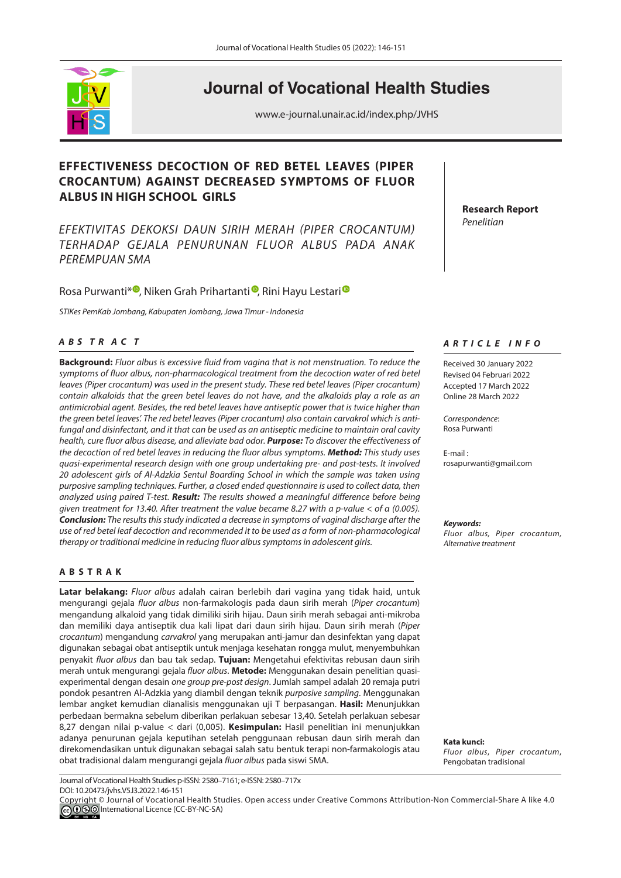

# **Journal of Vocational Health Studies**

www.e-journal.unair.ac.id/index.php/JVHS

# **EFFECTIVENESS DECOCTION OF RED BETEL LEAVES (PIPER CROCANTUM) AGAINST DECREASED SYMPTOMS OF FLUOR ALBUS IN HIGH SCHOOL GIRLS**

*EFEKTIVITAS DEKOKSI DAUN SIRIH MERAH (PIPER CROCANTUM) TERHADAP GEJALA PENURUNAN FLUOR ALBUS PADA ANAK PEREMPUAN SMA*

# RosaPurwanti<sup>\* (1</sup>, Niken Grah Prihartanti<sup>®</sup>, Rini Hayu Lestari<sup>®</sup>

*STIK*es *P*em*K*ab *J*ombang*, Kabupaten Jombang, Jawa Timur - Indonesia*

# *<sup>A</sup> <sup>B</sup> S T R A C T*

**Background:** *Fluor albus is excessive fluid from vagina that is not menstruation. To reduce the symptoms of fluor albus, non-pharmacological treatment from the decoction water of red betel leaves (Piper crocantum) was used in the present study. These red betel leaves (Piper crocantum) contain alkaloids that the green betel leaves do not have, and the alkaloids play a role as an antimicrobial agent. Besides, the red betel leaves have antiseptic power that is twice higher than the green betel leaves'. The red betel leaves (Piper* c*rocantum) also contain carvakrol which is antifungal and disinfectant, and it that can be used as an antiseptic medicine to maintain oral cavity health, cure fluor albus disease, and alleviate bad odor. Purpose: To discover the effectiveness of the decoction of red betel leaves in reducing the fluor albus symptoms. Method: This study uses quasi-experimental research design with one group undertaking pre- and post-tests. It involved 20 adolescent girls of Al-Adzkia Sentul Boarding School in which the sample was taken using purposive sampling techniques. Further, a closed ended questionnaire is used to collect data, then analyzed using paired* T*-test. Result: The results showed a meaningful difference before being given treatment for 13.40. After treatment the value became 8.27 with a p-value < of α (0.005). Conclusion: The results this study indicated a decrease in symptoms of vaginal discharge after the use of red betel leaf decoction and recommended it to be used as a form of non-pharmacological therapy or traditional medicine in reducing fluor albus symptoms in adolescent girls.*

#### **ABSTRAK**

**Latar belakang:** *Fluor albus* adalah cairan berlebih dari vagina yang tidak haid, untuk mengurangi gejala *fluor albus* non-farmakologis pada daun sirih merah (*Piper crocantum*) mengandung alkaloid yang tidak dimiliki sirih hijau. Daun sirih merah sebagai anti-mikroba dan memiliki daya antiseptik dua kali lipat dari daun sirih hijau. Daun sirih merah (*Piper crocantum*) mengandung *carvakrol* yang merupakan anti-jamur dan desinfektan yang dapat digunakan sebagai obat antiseptik untuk menjaga kesehatan rongga mulut, menyembuhkan penyakit *fluor albus* dan bau tak sedap. **Tujuan:** Mengetahui efektivitas rebusan daun sirih merah untuk mengurangi gejala *fluor albus*. **Metode:** Menggunakan desain penelitian quasiexperimental dengan desain *one group pre-post design*. Jumlah sampel adalah 20 remaja putri pondok pesantren Al-Adzkia yang diambil dengan teknik *purposive sampling*. Menggunakan lembar angket kemudian dianalisis menggunakan uji T berpasangan. **Hasil:** Menunjukkan perbedaan bermakna sebelum diberikan perlakuan sebesar 13,40. Setelah perlakuan sebesar 8,27 dengan nilai p-value < dari (0,005). **Kesimpulan:** Hasil penelitian ini menunjukkan adanya penurunan gejala keputihan setelah penggunaan rebusan daun sirih merah dan direkomendasikan untuk digunakan sebagai salah satu bentuk terapi non-farmakologis atau obat tradisional dalam mengurangi gejala *fluor albus* pada siswi SMA.

Journal of Vocational Health Studies p-ISSN: 2580–7161; e-ISSN: 2580–717x DOI: 10.20473/jvhs.V5.I3.2022.146-151

**Research Report** *Penelitian*

### *ARTICLE INFO*

Received 30 January 2022 Revised 04 Februari 2022 Accepted 17 March 2022 Online 28 March 2022

*Correspondence*: Rosa Purwanti

E-mail : rosapurwanti@gmail.com

*Keywords:*

*Fluor albus, Piper crocantum, Alternative treatment*

**Kata kunci:**  *Fluor albus*, *Piper crocantum*, Pengobatan tradisional



Copyright © Journal of Vocational Health Studies. Open access under Creative Commons Attribution-Non Commercial-Share A like 4.0 **COOO** International Licence (CC-BY-NC-SA)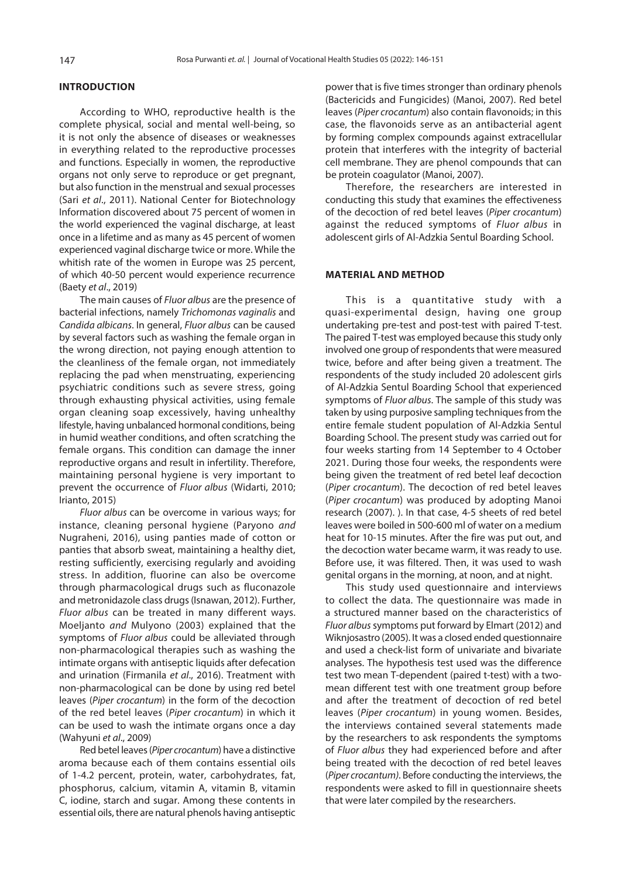## **INTRODUCTION**

According to WHO, reproductive health is the complete physical, social and mental well-being, so it is not only the absence of diseases or weaknesses in everything related to the reproductive processes and functions. Especially in women, the reproductive organs not only serve to reproduce or get pregnant, but also function in the menstrual and sexual processes (Sari *et al*., [2011\).](#page-5-0) National Center for Biotechnology Information discovered about 75 percent of women in the world experienced the vaginal discharge, at least once in a lifetime and as many as 45 percent of women experienced vaginal discharge twice or more. While the whitish rate of the women in Europe was 25 percent, of which 40-50 percent would experience recurrence (Baety *et al*[., 2019\)](#page-5-0)

The main causes of *Fluor albus* are the presence of bacterial infections, namely *Trichomonas vaginalis* and *Candida albicans*. In general, *Fluor albus* can be caused by several factors such as washing the female organ in the wrong direction, not paying enough attention to the cleanliness of the female organ, not immediately replacing the pad when menstruating, experiencing psychiatric conditions such as severe stress, going through exhausting physical activities, using female organ cleaning soap excessively, having unhealthy lifestyle, having unbalanced hormonal conditions, being in humid weather conditions, and often scratching the female organs. This condition can damage the inner reproductive organs and result in infertility. Therefore, maintaining personal hygiene is very important to prevent the occurrence of *Fluor albus* [\(Widarti, 2010](#page-5-0); [Irianto, 2015\)](#page-5-0)

*Fluor albus* can be overcome in various ways; for instance, cleaning personal hygiene [\(Paryono](#page-5-0) and [Nugraheni, 2016\),](#page-5-0) using panties made of cotton or panties that absorb sweat, maintaining a healthy diet, resting sufficiently, exercising regularly and avoiding stress. In addition, fluorine can also be overcome through pharmacological drugs such as fluconazole and metronidazole class drugs [\(Isnawan, 2012\).](#page-5-0) Further, *Fluor albus* can be treated in many different ways. Moeljanto and [Mulyono \(2003\)](#page-5-0) explained that the symptoms of *Fluor albus* could be alleviated through non-pharmacological therapies such as washing the intimate organs with antiseptic liquids after defecation and urination [\(Firmanila](#page-5-0) *et al*., 2016). Treatment with non-pharmacological can be done by using red betel leaves (*Piper crocantum*) in the form of the decoction of the red betel leaves (*Piper crocantum*) in which it can be used to wash the intimate organs once a day [\(Wahyuni](#page-5-0) *et al*., 2009)

Red betel leaves(*Piper crocantum*) have a distinctive aroma because each of them contains essential oils of 1-4.2 percent, protein, water, carbohydrates, fat, phosphorus, calcium, vitamin A, vitamin B, vitamin C, iodine, starch and sugar. Among these contents in essential oils, there are natural phenols having antiseptic

power that is five times stronger than ordinary phenols (Bactericids and Fungicides) [\(Manoi, 2007\)](#page-5-0). Red betel leaves (*Piper crocantum*) also contain flavonoids; in this case, the flavonoids serve as an antibacterial agent by forming complex compounds against extracellular protein that interferes with the integrity of bacterial cell membrane. They are phenol compounds that can be protein coagulator [\(Manoi, 2007\).](#page-5-0)

Therefore, the researchers are interested in conducting this study that examines the effectiveness of the decoction of red betel leaves (*Piper crocantum*) against the reduced symptoms of *Fluor albus* in adolescent girls of Al-Adzkia Sentul Boarding School.

#### **MATERIAL AND METHOD**

This is a quantitative study with a quasi-experimental design, having one group undertaking pre-test and post-test with paired T-test. The paired T-test was employed because this study only involved one group of respondents that were measured twice, before and after being given a treatment. The respondents of the study included 20 adolescent girls of Al-Adzkia Sentul Boarding School that experienced symptoms of *Fluor albus*. The sample of this study was taken by using purposive sampling techniques from the entire female student population of Al-Adzkia Sentul Boarding School. The present study was carried out for four weeks starting from 14 September to 4 October 2021. During those four weeks, the respondents were being given the treatment of red betel leaf decoction (*Piper crocantum*). The decoction of red betel leaves (*Piper crocantum*) was produced by adopting [Manoi](#page-5-0)  research (2007). ). In that case, 4-5 sheets of red betel leaves were boiled in 500-600 ml of water on a medium heat for 10-15 minutes. After the fire was put out, and the decoction water became warm, it was ready to use. Before use, it was filtered. Then, it was used to wash genital organs in the morning, at noon, and at night.

This study used questionnaire and interviews to collect the data. The questionnaire was made in a structured manner based on the characteristics of *Fluor albus* symptoms put forward by [Elmart \(2012\)](#page-5-0) and [Wiknjosastro \(2005\)](#page-5-0). It was a closed ended questionnaire and used a check-list form of univariate and bivariate analyses. The hypothesis test used was the difference test two mean T-dependent (paired t-test) with a twomean different test with one treatment group before and after the treatment of decoction of red betel leaves (*Piper crocantum*) in young women. Besides, the interviews contained several statements made by the researchers to ask respondents the symptoms of *Fluor albus* they had experienced before and after being treated with the decoction of red betel leaves (*Piper crocantum)*. Before conducting the interviews, the respondents were asked to fill in questionnaire sheets that were later compiled by the researchers.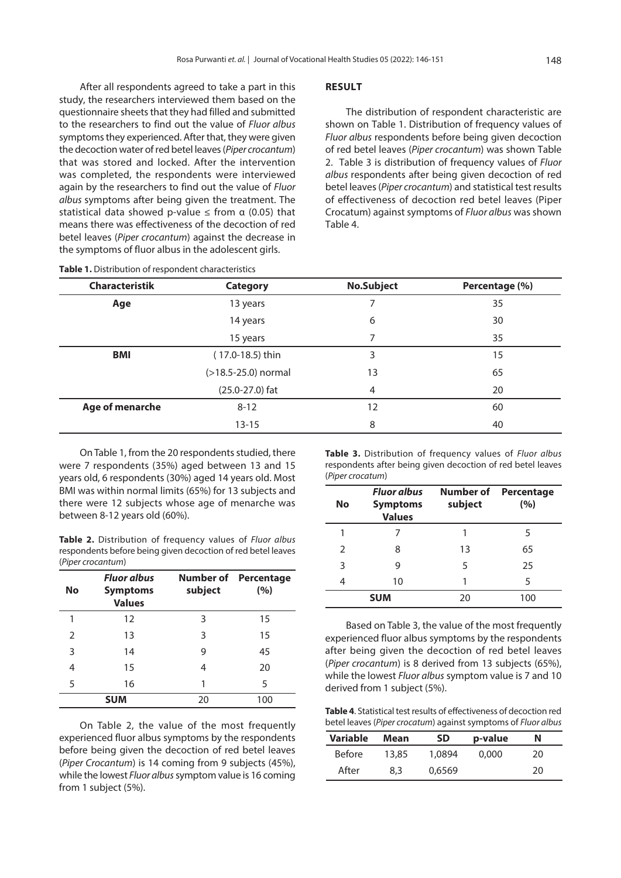<span id="page-2-0"></span>After all respondents agreed to take a part in this study, the researchers interviewed them based on the questionnaire sheets that they had filled and submitted to the researchers to find out the value of *Fluor albus* symptoms they experienced. After that, they were given the decoction water of red betel leaves (*Piper crocantum*) that was stored and locked. After the intervention was completed, the respondents were interviewed again by the researchers to find out the value of *Fluor albus* symptoms after being given the treatment. The statistical data showed p-value  $\leq$  from  $\alpha$  (0.05) that means there was effectiveness of the decoction of red betel leaves (*Piper crocantum*) against the decrease in the symptoms of fluor albus in the adolescent girls.

#### **RESULT**

The distribution of respondent characteristic are shown on Table 1. Distribution of frequency values of *Fluor albus* respondents before being given decoction of red betel leaves (*Piper crocantum*) was shown Table 2. Table 3 is distribution of frequency values of *Fluor albus* respondents after being given decoction of red betel leaves (*Piper crocantum*) and statistical test results of effectiveness of decoction red betel leaves (Piper Crocatum) against symptoms of *Fluor albus* was shown Table 4.

| Table 1. Distribution of respondent characteristics |                       |                   |                |  |  |
|-----------------------------------------------------|-----------------------|-------------------|----------------|--|--|
| <b>Characteristik</b>                               | <b>Category</b>       | <b>No.Subject</b> | Percentage (%) |  |  |
| Age                                                 | 13 years              |                   | 35             |  |  |
|                                                     | 14 years              | 6                 | 30             |  |  |
|                                                     | 15 years              |                   | 35             |  |  |
| BMI                                                 | (17.0-18.5) thin      | 3                 | 15             |  |  |
|                                                     | $(>18.5-25.0)$ normal | 13                | 65             |  |  |
|                                                     | $(25.0 - 27.0)$ fat   | 4                 | 20             |  |  |
| Age of menarche                                     | $8 - 12$              | 12                | 60             |  |  |
|                                                     | $13 - 15$             | 8                 | 40             |  |  |

On Table 1, from the 20 respondents studied, there were 7 respondents (35%) aged between 13 and 15 years old, 6 respondents (30%) aged 14 years old. Most BMI was within normal limits (65%) for 13 subjects and there were 12 subjects whose age of menarche was between 8-12 years old (60%).

**Table 2.** Distribution of frequency values of *Fluor albus*  respondents before being given decoction of red betel leaves (*Piper crocantum*)

| No         | <b>Fluor albus</b><br><b>Symptoms</b><br><b>Values</b> | subject | <b>Number of Percentage</b><br>(%) |
|------------|--------------------------------------------------------|---------|------------------------------------|
| 1          | 12                                                     | 3       | 15                                 |
| 2          | 13                                                     | 3       | 15                                 |
| 3          | 14                                                     | 9       | 45                                 |
| 4          | 15                                                     | 4       | 20                                 |
| 5          | 16                                                     |         | 5                                  |
| <b>SUM</b> |                                                        | 20      | 100                                |

On Table 2, the value of the most frequently experienced fluor albus symptoms by the respondents before being given the decoction of red betel leaves (*Piper Crocantum*) is 14 coming from 9 subjects (45%), while the lowest *Fluor albus* symptom value is 16 coming from 1 subject (5%).

**Table 3.** Distribution of frequency values of *Fluor albus*  respondents after being given decoction of red betel leaves (*Piper crocatum*)

| No            | <b>Fluor albus</b><br><b>Symptoms</b><br><b>Values</b> | Number of<br>subject | Percentage<br>(%) |
|---------------|--------------------------------------------------------|----------------------|-------------------|
|               |                                                        |                      | 5                 |
| $\mathcal{P}$ | 8                                                      | 13                   | 65                |
| 3             | 9                                                      | 5                    | 25                |
| 4             | 10                                                     | 1                    | 5                 |
|               | <b>SUM</b>                                             | 20                   | 100               |

Based on Table 3, the value of the most frequently experienced fluor albus symptoms by the respondents after being given the decoction of red betel leaves (*Piper crocantum*) is 8 derived from 13 subjects (65%), while the lowest *Fluor albus* symptom value is 7 and 10 derived from 1 subject (5%).

**Table 4**. Statistical test results of effectiveness of decoction red betel leaves (*Piper crocatum*) against symptoms of *Fluor albus*

| <b>Variable</b> | Mean  | SD     | p-value | Ν  |  |
|-----------------|-------|--------|---------|----|--|
| <b>Before</b>   | 13,85 | 1.0894 | 0.000   | 20 |  |
| After           | 8,3   | 0.6569 |         | 20 |  |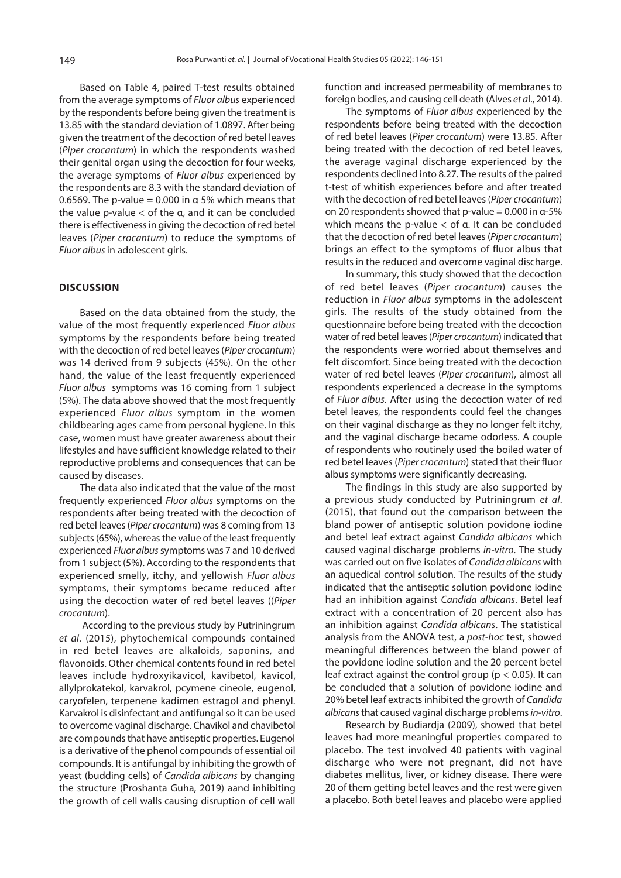Based on [Table 4,](#page-2-0) paired T-test results obtained from the average symptoms of *Fluor albus* experienced by the respondents before being given the treatment is 13.85 with the standard deviation of 1.0897. After being given the treatment of the decoction of red betel leaves (*Piper crocantum*) in which the respondents washed their genital organ using the decoction for four weeks, the average symptoms of *Fluor albus* experienced by the respondents are 8.3 with the standard deviation of 0.6569. The p-value = 0.000 in  $\alpha$  5% which means that the value p-value  $<$  of the α, and it can be concluded there is effectiveness in giving the decoction of red betel leaves (*Piper crocantum*) to reduce the symptoms of *Fluor albus* in adolescent girls.

#### **DISCUSSION**

Based on the data obtained from the study, the value of the most frequently experienced *Fluor albus*  symptoms by the respondents before being treated with the decoction of red betel leaves (*Piper crocantum*) was 14 derived from 9 subjects (45%). On the other hand, the value of the least frequently experienced *Fluor albus* symptoms was 16 coming from 1 subject (5%). The data above showed that the most frequently experienced *Fluor albus* symptom in the women childbearing ages came from personal hygiene. In this case, women must have greater awareness about their lifestyles and have sufficient knowledge related to their reproductive problems and consequences that can be caused by diseases.

The data also indicated that the value of the most frequently experienced *Fluor albus* symptoms on the respondents after being treated with the decoction of red betel leaves (*Piper crocantum*) was 8 coming from 13 subjects (65%), whereas the value of the least frequently experienced *Fluor albus* symptoms was 7 and 10 derived from 1 subject (5%). According to the respondents that experienced smelly, itchy, and yellowish *Fluor albus*  symptoms, their symptoms became reduced after using the decoction water of red betel leaves ((*Piper crocantum*).

 According to the previous study b[y Putriningrum](#page-5-0)  *et al*[. \(2015](#page-5-0)), phytochemical compounds contained in red betel leaves are alkaloids, saponins, and flavonoids. Other chemical contents found in red betel leaves include hydroxyikavicol, kavibetol, kavicol, allylprokatekol, karvakrol, pcymene cineole, eugenol, caryofelen, terpenene kadimen estragol and phenyl. Karvakrol is disinfectant and antifungal so it can be used to overcome vaginal discharge. Chavikol and chavibetol are compounds that have antiseptic properties. Eugenol is a derivative of the phenol compounds of essential oil compounds. It is antifungal by inhibiting the growth of yeast (budding cells) of *Candida albicans* by changing the structure [\(Proshanta Guha, 2019\)](#page-5-0) aand inhibiting the growth of cell walls causing disruption of cell wall

function and increased permeability of membranes to foreign bodies, and causing cell death (Alves *et a*[l., 2014\)](#page-4-0).

The symptoms of *Fluor albus* experienced by the respondents before being treated with the decoction of red betel leaves (*Piper crocantum*) were 13.85. After being treated with the decoction of red betel leaves, the average vaginal discharge experienced by the respondents declined into 8.27. The results of the paired t-test of whitish experiences before and after treated with the decoction of red betel leaves (*Piper crocantum*) on 20 respondents showed that p-value = 0.000 in α-5% which means the p-value < of α. It can be concluded that the decoction of red betel leaves (*Piper crocantum*) brings an effect to the symptoms of fluor albus that results in the reduced and overcome vaginal discharge.

In summary, this study showed that the decoction of red betel leaves (*Piper crocantum*) causes the reduction in *Fluor albus* symptoms in the adolescent girls. The results of the study obtained from the questionnaire before being treated with the decoction water of red betel leaves (*Piper crocantum*) indicated that the respondents were worried about themselves and felt discomfort. Since being treated with the decoction water of red betel leaves (*Piper crocantum*), almost all respondents experienced a decrease in the symptoms of *Fluor albus*. After using the decoction water of red betel leaves, the respondents could feel the changes on their vaginal discharge as they no longer felt itchy, and the vaginal discharge became odorless. A couple of respondents who routinely used the boiled water of red betel leaves (*Piper crocantum*) stated that their fluor albus symptoms were significantly decreasing.

The findings in this study are also supported by a previous study conducted by [Putriningrum](#page-5-0) *et al*. [\(2015\),](#page-5-0) that found out the comparison between the bland power of antiseptic solution povidone iodine and betel leaf extract against *Candida albicans* which caused vaginal discharge problems *in-vitro*. The study was carried out on five isolates of *Candida albicans* with an aquedical control solution. The results of the study indicated that the antiseptic solution povidone iodine had an inhibition against *Candida albicans*. Betel leaf extract with a concentration of 20 percent also has an inhibition against *Candida albicans*. The statistical analysis from the ANOVA test, a *post-hoc* test, showed meaningful differences between the bland power of the povidone iodine solution and the 20 percent betel leaf extract against the control group ( $p < 0.05$ ). It can be concluded that a solution of povidone iodine and 20% betel leaf extracts inhibited the growth of *Candida albicans* that caused vaginal discharge problems *in-vitro*.

Research by [Budiardja \(2009\),](#page-5-0) showed that betel leaves had more meaningful properties compared to placebo. The test involved 40 patients with vaginal discharge who were not pregnant, did not have diabetes mellitus, liver, or kidney disease. There were 20 of them getting betel leaves and the rest were given a placebo. Both betel leaves and placebo were applied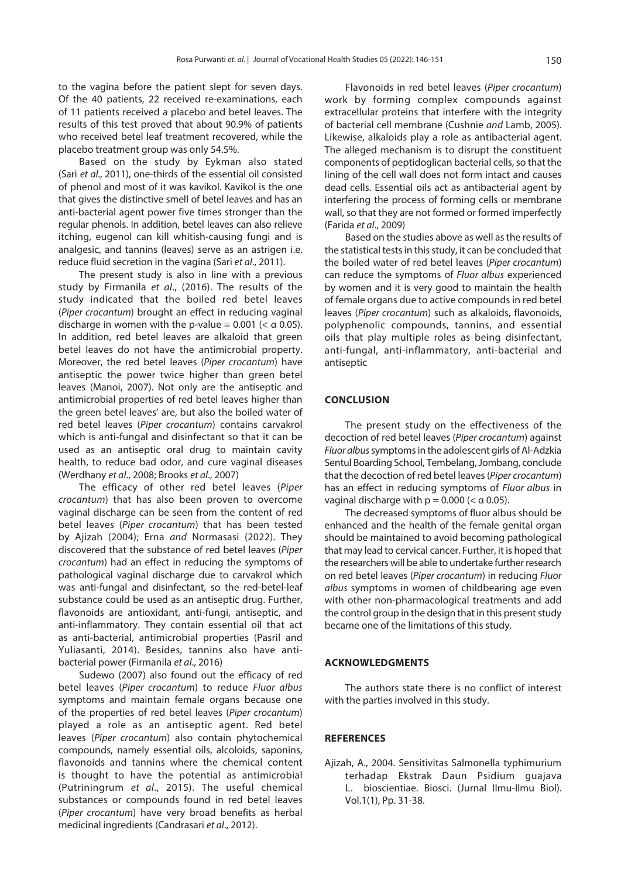<span id="page-4-0"></span>to the vagina before the patient slept for seven days. Of the 40 patients, 22 received re-examinations, each of 11 patients received a placebo and betel leaves. The results of this test proved that about 90.9% of patients who received betel leaf treatment recovered, while the placebo treatment group was only 54.5%.

Based on the study by Eykman also stated (Sari *et al*[., 2011\),](#page-5-0) one-thirds of the essential oil consisted of phenol and most of it was kavikol. Kavikol is the one that gives the distinctive smell of betel leaves and has an anti-bacterial agent power five times stronger than the regular phenols. In addition, betel leaves can also relieve itching, eugenol can kill whitish-causing fungi and is analgesic, and tannins (leaves) serve as an astrigen i.e. reduce fluid secretion in the vagina (Sari *et al*[., 2011\).](#page-5-0)

The present study is also in line with a previous study by [Firmanila](#page-5-0) *et al*., (2016). The results of the study indicated that the boiled red betel leaves (*Piper crocantum*) brought an effect in reducing vaginal discharge in women with the p-value =  $0.001$  (<  $\alpha$  0.05). In addition, red betel leaves are alkaloid that green betel leaves do not have the antimicrobial property. Moreover, the red betel leaves (*Piper crocantum*) have antiseptic the power twice higher than green betel leaves [\(Manoi, 2007\)](#page-5-0). Not only are the antiseptic and antimicrobial properties of red betel leaves higher than the green betel leaves' are, but also the boiled water of red betel leaves (*Piper crocantum*) contains carvakrol which is anti-fungal and disinfectant so that it can be used as an antiseptic oral drug to maintain cavity health, to reduce bad odor, and cure vaginal diseases [\(Werdhany](#page-5-0) *et al*., 2008; [Brooks](#page-5-0) *et al*., 2007)

The efficacy of other red betel leaves (*Piper crocantum*) that has also been proven to overcome vaginal discharge can be seen from the content of red betel leaves (*Piper crocantum*) that has been tested by Ajizah (2004); Erna and [Normasasi \(2022\).](#page-5-0) They discovered that the substance of red betel leaves (*Piper crocantum*) had an effect in reducing the symptoms of pathological vaginal discharge due to carvakrol which was anti-fungal and disinfectant, so the red-betel-leaf substance could be used as an antiseptic drug. Further, flavonoids are antioxidant, anti-fungi, antiseptic, and anti-inflammatory. They contain essential oil that act as anti-bacterial, antimicrobial properties [\(Pasril and](#page-5-0) [Yuliasanti, 2014\)](#page-5-0). Besides, tannins also have antibacterial power [\(Firmanila](#page-5-0) *et al*., 2016)

[Sudewo \(2007\)](#page-5-0) also found out the efficacy of red betel leaves (*Piper crocantum*) to reduce *Fluor albus*  symptoms and maintain female organs because one of the properties of red betel leaves (*Piper crocantum*) played a role as an antiseptic agent. Red betel leaves (*Piper crocantum*) also contain phytochemical compounds, namely essential oils, alcoloids, saponins, flavonoids and tannins where the chemical content is thought to have the potential as antimicrobial [\(Putriningrum](#page-5-0) *et al*., 2015). The useful chemical substances or compounds found in red betel leaves (*Piper crocantum*) have very broad benefits as herbal medicinal ingredients ([Candrasari](#page-5-0) *et al*., 2012).

Flavonoids in red betel leaves (*Piper crocantum*) work by forming complex compounds against extracellular proteins that interfere with the integrity of bacterial cell membrane (Cushnie and [Lamb, 2005\).](#page-5-0) Likewise, alkaloids play a role as antibacterial agent. The alleged mechanism is to disrupt the constituent components of peptidoglican bacterial cells, so that the lining of the cell wall does not form intact and causes dead cells. Essential oils act as antibacterial agent by interfering the process of forming cells or membrane wall, so that they are not formed or formed imperfectly [\(Farida](#page-5-0) *et al*., 2009)

Based on the studies above as well as the results of the statistical tests in this study, it can be concluded that the boiled water of red betel leaves (*Piper crocantum*) can reduce the symptoms of *Fluor albus* experienced by women and it is very good to maintain the health of female organs due to active compounds in red betel leaves (*Piper crocantum*) such as alkaloids, flavonoids, polyphenolic compounds, tannins, and essential oils that play multiple roles as being disinfectant, anti-fungal, anti-inflammatory, anti-bacterial and antiseptic

#### **CONCLUSION**

The present study on the effectiveness of the decoction of red betel leaves (*Piper crocantum*) against *Fluor albus* symptoms in the adolescent girls of Al-Adzkia Sentul Boarding School, Tembelang, Jombang, conclude that the decoction of red betel leaves (*Piper crocantum*) has an effect in reducing symptoms of *Fluor albus* in vaginal discharge with  $p = 0.000$  ( $< \alpha$  0.05).

The decreased symptoms of fluor albus should be enhanced and the health of the female genital organ should be maintained to avoid becoming pathological that may lead to cervical cancer. Further, it is hoped that the researchers will be able to undertake further research on red betel leaves (*Piper crocantum*) in reducing *Fluor albus* symptoms in women of childbearing age even with other non-pharmacological treatments and add the control group in the design that in this present study became one of the limitations of this study.

#### **ACKNOWLEDGMENTS**

The authors state there is no conflict of interest with the parties involved in this study.

## **REFERENCES**

[Ajizah, A., 2004. Sensitivitas Salmonella typhimurium](https://doi.org/10.20527/b.v1i1.130%0A) terhadap Ekstrak Daun Psidium guajava L. bioscientiae. Biosci. (Jurnal Ilmu-Ilmu Biol). Vol.1(1), Pp. 31-38.